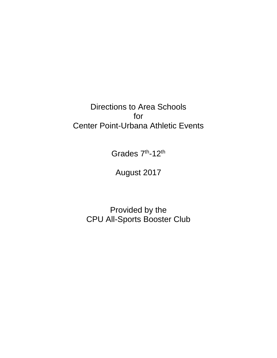Directions to Area Schools for Center Point-Urbana Athletic Events

Grades 7<sup>th</sup>-12<sup>th</sup>

August 2017

Provided by the CPU All-Sports Booster Club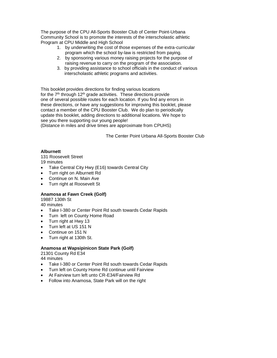The purpose of the CPU All-Sports Booster Club of Center Point-Urbana Community School is to promote the interests of the interscholastic athletic Program at CPU Middle and High School

- 1. by underwriting the cost of those expenses of the extra-curricular program which the school by-law is restricted from paying.
- 2. by sponsoring various money raising projects for the purpose of raising revenue to carry on the program of the association.
- 3. by providing assistance to school officials in the conduct of various interscholastic athletic programs and activities.

This booklet provides directions for finding various locations for the  $7<sup>th</sup>$  through 12<sup>th</sup> grade activities. These directions provide one of several possible routes for each location. If you find any errors in these directions, or have any suggestions for improving this booklet, please contact a member of the CPU Booster Club. We do plan to periodically update this booklet, adding directions to additional locations. We hope to see you there supporting our young people! (Distance in miles and drive times are approximate from CPUHS)

The Center Point Urbana All-Sports Booster Club

## **Alburnett**

131 Roosevelt Street 19 minutes

- Take Central City Hwy (E16) towards Central City
- Turn right on Alburnett Rd
- Continue on N. Main Ave
- Turn right at Roosevelt St

## **Anamosa at Fawn Creek (Golf)**

19887 130th St

- 40 minutes
- Take I-380 or Center Point Rd south towards Cedar Rapids
- Turn left on County Home Road
- Turn right at Hwy 13
- Turn left at US 151 N
- Continue on 151 N
- Turn right at 130th St.

#### **Anamosa at Wapsipinicon State Park (Golf)**

21301 County Rd E34

- Take I-380 or Center Point Rd south towards Cedar Rapids
- Turn left on County Home Rd continue until Fairview
- At Fairview turn left unto CR-E34/Fairview Rd
- Follow into Anamosa, State Park will on the right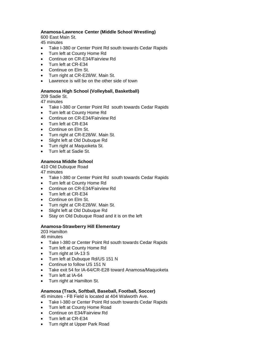#### **Anamosa-Lawrence Center (Middle School Wrestling)**

600 East Main St.

45 minutes

- Take I-380 or Center Point Rd south towards Cedar Rapids
- Turn left at County Home Rd
- **Continue on CR-F34/Fairview Rd**
- Turn left at CR-E34
- Continue on Elm St.
- Turn right at CR-E28/W. Main St.
- Lawrence is will be on the other side of town

#### **Anamosa High School (Volleyball, Basketball)**

209 Sadie St.

47 minutes

- Take I-380 or Center Point Rd south towards Cedar Rapids
- Turn left at County Home Rd
- Continue on CR-E34/Fairview Rd
- Turn left at CR-E34
- Continue on Elm St.
- Turn right at CR-E28/W. Main St.
- Slight left at Old Dubuque Rd
- Turn right at Maquoketa St.
- Turn left at Sadie St.

#### **Anamosa Middle School**

410 Old Dubuque Road

47 minutes

- Take I-380 or Center Point Rd south towards Cedar Rapids
- Turn left at County Home Rd
- Continue on CR-E34/Fairview Rd
- Turn left at CR-E34
- Continue on Elm St.
- Turn right at CR-E28/W. Main St.
- Slight left at Old Dubuque Rd
- Stay on Old Dubuque Road and it is on the left

#### **Anamosa-Strawberry Hill Elementary**

203 Hamilton

46 minutes

- Take I-380 or Center Point Rd south towards Cedar Rapids
- Turn left at County Home Rd
- Turn right at IA-13 S
- Turn left at Dubuque Rd/US 151 N
- Continue to follow US 151 N
- Take exit 54 for IA-64/CR-E28 toward Anamosa/Maquoketa
- Turn left at IA-64
- Turn right at Hamilton St.

## **Anamosa (Track, Softball, Baseball, Football, Soccer)**

45 minutes - FB Field is located at 404 Walworth Ave.

- Take I-380 or Center Point Rd south towards Cedar Rapids
- Turn left at County Home Road
- Continue on E34/Fairview Rd
- Turn left at CR-E34
- Turn right at Upper Park Road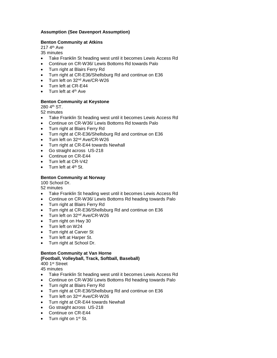## **Assumption (See Davenport Assumption)**

## **Benton Community at Atkins**

217 4th Ave

- 35 minutes
- Take Franklin St heading west until it becomes Lewis Access Rd
- Continue on CR-W36/ Lewis Bottoms Rd towards Palo
- Turn right at Blairs Ferry Rd
- Turn right at CR-E36/Shellsburg Rd and continue on E36
- Turn left on 32<sup>nd</sup> Ave/CR-W26
- Turn left at CR-E44
- $\bullet$  Turn left at  $4<sup>th</sup>$  Ave

## **Benton Community at Keystone**

280 4th ST.

52 minutes

- Take Franklin St heading west until it becomes Lewis Access Rd
- Continue on CR-W36/ Lewis Bottoms Rd towards Palo
- Turn right at Blairs Ferry Rd
- Turn right at CR-E36/Shellsburg Rd and continue on E36
- Turn left on 32<sup>nd</sup> Ave/CR-W26
- Turn right at CR-E44 towards Newhall
- Go straight across US-218
- Continue on CR-E44
- Turn left at CR-V42
- $\bullet$  Turn left at  $4<sup>th</sup>$  St.

## **Benton Community at Norway**

100 School Dr.

52 minutes

- Take Franklin St heading west until it becomes Lewis Access Rd
- Continue on CR-W36/ Lewis Bottoms Rd heading towards Palo
- Turn right at Blairs Ferry Rd
- Turn right at CR-E36/Shellsburg Rd and continue on E36
- Turn left on 32<sup>nd</sup> Ave/CR-W26
- Turn right on Hwy 30
- Turn left on W24
- Turn right at Carver St
- Turn left at Harper St.
- Turn right at School Dr.

#### **Benton Community at Van Horne (Football, Volleyball, Track, Softball, Baseball)**

400 1st Street

- Take Franklin St heading west until it becomes Lewis Access Rd
- Continue on CR-W36/ Lewis Bottoms Rd heading towards Palo
- Turn right at Blairs Ferry Rd
- Turn right at CR-E36/Shellsburg Rd and continue on E36
- Turn left on 32<sup>nd</sup> Ave/CR-W26
- Turn right at CR-E44 towards Newhall
- Go straight across US-218
- Continue on CR-E44
- $\bullet$  Turn right on 1<sup>st</sup> St.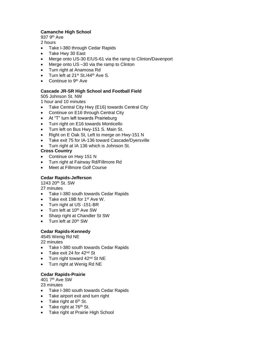## **Camanche High School**

937 9th Ave

2 hours

- Take I-380 through Cedar Rapids
- Take Hwy 30 East
- Merge onto US-30 E/US-61 via the ramp to Clinton/Davenport
- Merge onto US -30 via the ramp to Clinton
- Turn right at Anamosa Rd
- $\bullet$  Turn left at 21<sup>st</sup> St./44<sup>th</sup> Ave S.
- $\bullet$  Continue to 9<sup>th</sup> Ave

## **Cascade JR-SR High School and Football Field**

505 Johnson St. NW

1 hour and 10 minutes

- Take Central City Hwy (E16) towards Central City
- Continue on E16 through Central City
- At "T" turn left towards Prairieburg
- Turn right on E16 towards Monticello
- Turn left on Bus Hwy-151 S. Main St.
- Right on E Oak St, Left to merge on Hwy-151 N
- Take exit 75 for IA-136 toward Cascade/Dyersville
- Turn right at IA 136 which is Johnson St.

## **Cross Country**

- Continue on Hwy 151 N
- Turn right at Fairway Rd/Fillmore Rd
- Meet at Fillmore Golf Course

## **Cedar Rapids-Jefferson**

1243 20th St. SW

27 minutes

- Take I-380 south towards Cedar Rapids
- Take exit 19B for 1<sup>st</sup> Ave W.
- Turn right at US -151-BR
- Turn left at 10<sup>th</sup> Ave SW
- Sharp right at Chandler St SW
- Turn left at 20<sup>th</sup> SW

## **Cedar Rapids-Kennedy**

4545 Wenig Rd NE

22 minutes

- Take I-380 south towards Cedar Rapids
- Take exit 24 for  $42<sup>nd</sup>$  St
- $\bullet$  Turn right toward 42<sup>nd</sup> St NE
- Turn right at Wenig Rd NE

# **Cedar Rapids-Prairie**

401 7th Ave SW

- Take I-380 south towards Cedar Rapids
- Take airport exit and turn right
- $\bullet$  Take right at  $6<sup>th</sup>$  St.
- $\bullet$  Take right at 76<sup>th</sup> St.
- Take right at Prairie High School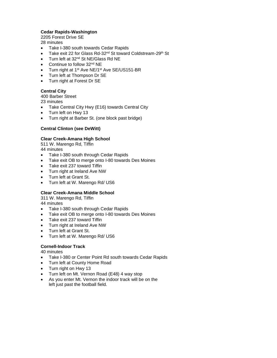## **Cedar Rapids-Washington**

2205 Forest Drive SE

28 minutes

- Take I-380 south towards Cedar Rapids
- Take exit 22 for Glass Rd-32<sup>nd</sup> St toward Coldstream-29<sup>th</sup> St
- Turn left at 32<sup>nd</sup> St NE/Glass Rd NE
- Continue to follow 32<sup>nd</sup> NE
- Turn right at 1<sup>st</sup> Ave NE/1<sup>st</sup> Ave SE/US151-BR
- Turn left at Thompson Dr SE
- Turn right at Forest Dr SE

## **Central City**

400 Barber Street

23 minutes

- Take Central City Hwy (E16) towards Central City
- Turn left on Hwy 13
- Turn right at Barber St. (one block past bridge)

## **Central Clinton (see DeWitt)**

## **Clear Creek-Amana High School**

511 W. Marengo Rd, Tiffin 44 minutes

- Take I-380 south through Cedar Rapids
- Take exit OB to merge onto I-80 towards Des Moines
- Take exit 237 toward Tiffin
- Turn right at Ireland Ave NW
- Turn left at Grant St.
- Turn left at W. Marengo Rd/ US6

# **Clear Creek-Amana Middle School**

311 W. Marengo Rd, Tiffin

44 minutes

- Take I-380 south through Cedar Rapids
- Take exit OB to merge onto I-80 towards Des Moines
- Take exit 237 toward Tiffin
- Turn right at Ireland Ave NW
- Turn left at Grant St.
- Turn left at W. Marengo Rd/ US6

# **Cornell-Indoor Track**

- Take I-380 or Center Point Rd south towards Cedar Rapids
- Turn left at County Home Road
- Turn right on Hwy 13
- Turn left on Mt. Vernon Road (E48) 4 way stop
- As you enter Mt. Vernon the indoor track will be on the left just past the football field.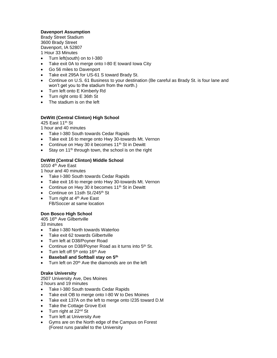## **Davenport Assumption**

Brady Street Stadium 3600 Brady Street Davenport, IA 52807 1 Hour 33 Minutes

- Turn left(south) on to I-380
- Take exit 0A to merge onto I-80 E toward lowa City
- Go 56 miles to Davenport
- Take exit 295A for US-61 S toward Brady St.
- Continue on U.S. 61 Business to your destination (Be careful as Brady St. is four lane and won't get you to the stadium from the north.)
- Turn left onto E Kimberly Rd
- Turn right onto E 36th St
- The stadium is on the left

## **DeWitt (Central Clinton) High School**

425 East 11th St

1 hour and 40 minutes

- Take I-380 South towards Cedar Rapids
- Take exit 16 to merge onto Hwy 30-towards Mt. Vernon
- Continue on Hwy 30 it becomes 11<sup>th</sup> St in Dewitt
- Stay on 11<sup>th</sup> through town, the school is on the right

## **DeWitt (Central Clinton) Middle School**

1010 4th Ave East

1 hour and 40 minutes

- Take I-380 South towards Cedar Rapids
- Take exit 16 to merge onto Hwy 30-towards Mt. Vernon
- Continue on Hwy 30 it becomes 11<sup>th</sup> St in Dewitt
- Continue on 11sth St./245<sup>th</sup> St
- $\bullet$  Turn right at 4<sup>th</sup> Ave East FB/Soccer at same location

## **Don Bosco High School**

405 16th Ave Gilbertville 33 minutes

- Take I-380 North towards Waterloo
- Take exit 62 towards Gilbertville
- Turn left at D38/Poyner Road
- Continue on D38/Poyner Road as it turns into 5<sup>th</sup> St.
- Turn left off 5<sup>th</sup> onto 16<sup>th</sup> Ave
- **Baseball and Softball stay on 5th**
- $\bullet$  Turn left on 20<sup>th</sup> Ave the diamonds are on the left

## **Drake University**

2507 University Ave, Des Moines

2 hours and 19 minutes

- Take I-380 South towards Cedar Rapids
- Take exit OB to merge onto I-80 W to Des Moines
- Take exit 137A on the left to merge onto I235 toward D.M
- Take the Cottage Grove Exit
- $\bullet$  Turn right at 22<sup>nd</sup> St
- Turn left at University Ave
- Gyms are on the North edge of the Campus on Forest (Forest runs parallel to the University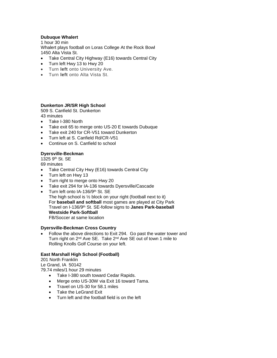## **Dubuque Whalert**

1 hour 30 min Whalert plays football on Loras College At the Rock Bowl 1450 Alta Vista St.

- Take Central City Highway (E16) towards Central City
- Turn left Hwy 13 to Hwy 20
- Turn **left** onto University Ave.
- Turn **left** onto Alta Vista St.

#### **Dunkerton JR/SR High School**

509 S. Canfield St. Dunkerton 43 minutes

- Take I-380 North
- Take exit 65 to merge onto US-20 E towards Dubuque
- Take exit 240 for CR-V51 toward Dunkerton
- Turn left at S. Canfield Rd/CR-V51
- Continue on S. Canfield to school

## **Dyersville-Beckman**

1325 9th St. SE

69 minutes

- Take Central City Hwy (E16) towards Central City
- Turn left on Hwy 13
- Turn right to merge onto Hwy 20
- Take exit 294 for IA-136 towards Dyersville/Cascade
- Turn left onto IA-136/9th St. SE The high school is ½ block on your right (football next to it) For **baseball and softball** most games are played at City Park Travel on I-136/9th St. SE-follow signs to **Janes Park-baseball Westside Park-Softball** FB/Soccer at same location

#### **Dyersville-Beckman Cross Country**

 Follow the above directions to Exit 294. Go past the water tower and Turn right on 2<sup>nd</sup> Ave SE. Take 2<sup>nd</sup> Ave SE out of town 1 mile to Rolling Knolls Golf Course on your left.

#### **East Marshall High School (Football)**

201 North Franklin Le Grand, IA 50142 79.74 miles/1 hour 29 minutes

- Take I-380 south toward Cedar Rapids.
- Merge onto US-30W via Exit 16 toward Tama.
- Travel on US-30 for 58.1 miles
- Take the LeGrand Exit
- Turn left and the football field is on the left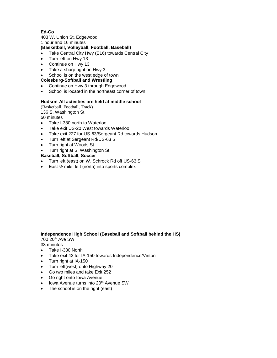## **Ed-Co**

403 W. Union St. Edgewood 1 hour and 16 minutes

# **(Basketball, Volleyball, Football, Baseball)**

- Take Central City Hwy (E16) towards Central City
- Turn left on Hwy 13
- Continue on Hwy 13
- Take a sharp right on Hwy 3
- School is on the west edge of town

## **Colesburg-Softball and Wrestling**

- Continue on Hwy 3 through Edgewood
- School is located in the northeast corner of town

## **Hudson-All activities are held at middle school**

(Basketball, Football, Track) 136 S. Washington St. 50 minutes

- Take I-380 north to Waterloo
- Take exit US-20 West towards Waterloo
- Take exit 227 for US-63/Sergeant Rd towards Hudson
- Turn left at Sergeant Rd/US-63 S
- Turn right at Woods St.
- Turn right at S. Washington St.

#### **Baseball, Softball, Soccer**

- Turn left (east) on W. Schrock Rd off US-63 S
- East  $\frac{1}{2}$  mile, left (north) into sports complex

#### **Independence High School (Baseball and Softball behind the HS)** 700 20th Ave SW

- Take I-380 North
- Take exit 43 for IA-150 towards Independence/Vinton
- Turn right at IA-150
- Turn left(west) onto Highway 20
- Go two miles and take Exit 252
- Go right onto Iowa Avenue
- Iowa Avenue turns into 20<sup>th</sup> Avenue SW
- The school is on the right (east)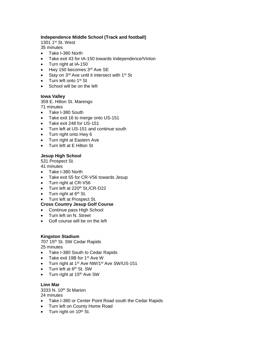## **Independence Middle School (Track and football)**

1301 1st St. West

35 minutes

- Take I-380 North
- Take exit 43 for IA-150 towards Independence/Vinton
- Turn right at IA-150
- Hwy 150 becomes 3rd Ave SE
- $\bullet$  Stay on 3<sup>rd</sup> Ave until it intersect with 1<sup>st</sup> St
- $\bullet$  Turn left onto 1<sup>st</sup> St
- School will be on the left

## **Iowa Valley**

359 E. Hilton St. Marengo

71 minutes

- Take I-380 South
- Take exit 16 to merge onto US-151
- Take exit 248 for US-151
- Turn left at US-151 and continue south
- Turn right onto Hwy 6
- Turn right at Eastern Ave
- Turn left at E Hilton St

# **Jesup High School**

531 Prospect St.

41 minutes

- Take I-380 North
- Take exit 55 for CR-V56 towards Jesup
- Turn right at CR-V56
- Turn left at 220<sup>th</sup> St./CR-D22
- $\bullet$  Turn right at  $6<sup>th</sup>$  St.
- Turn left at Prospect St.

# **Cross Country Jesup Golf Course**

- Continue pass High School
- Turn left on N. Street
- Golf course will be on the left

## **Kingston Stadium**

707 15th St. SW Cedar Rapids 25 minutes

- Take I-380 South to Cedar Rapids
- Take exit 19B for 1<sup>st</sup> Ave W
- Turn right at 1<sup>st</sup> Ave NW/1<sup>st</sup> Ave SW/US-151
- $\bullet$  Turn left at  $6<sup>th</sup>$  St. SW
- Turn right at 15<sup>th</sup> Ave SW

# **Linn Mar**

3333 N. 10th St Marion 24 minutes

- Take I-380 or Center Point Road south the Cedar Rapids
- Turn left on County Home Road
- $\bullet$  Turn right on 10<sup>th</sup> St.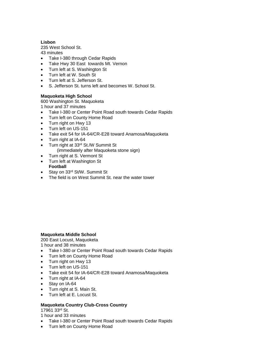## **Lisbon**

235 West School St.

43 minutes

- Take I-380 through Cedar Rapids
- Take Hwy 30 East towards Mt. Vernon
- Turn left at S. Washington St
- Turn left at W. South St
- Turn left at S. Jefferson St.
- S. Jefferson St. turns left and becomes W. School St.

## **Maquoketa High School**

600 Washington St. Maquoketa

1 hour and 37 minutes

- Take I-380 or Center Point Road south towards Cedar Rapids
- Turn left on County Home Road
- Turn right on Hwy 13
- Turn left on US-151
- Take exit 54 for IA-64/CR-E28 toward Anamosa/Maquoketa
- Turn right at IA-64
- Turn right at 33rd St./W Summit St (immediately after Maquoketa stone sign)
- Turn right at S. Vermont St
- Turn left at Washington St **Football**
- Stay on 33<sup>rd</sup> St/W. Summit St
- The field is on West Summit St. near the water tower

## **Maquoketa Middle School**

200 East Locust, Maquoketa 1 hour and 38 minutes

- Take I-380 or Center Point Road south towards Cedar Rapids
- Turn left on County Home Road
- Turn right on Hwy 13
- Turn left on US-151
- Take exit 54 for IA-64/CR-E28 toward Anamosa/Maquoketa
- Turn right at IA-64
- Stay on IA-64
- Turn right at S. Main St.
- Turn left at E. Locust St.

## **Maquoketa Country Club-Cross Country**

17961 33rd St.

1 hour and 33 minutes

- Take I-380 or Center Point Road south towards Cedar Rapids
- Turn left on County Home Road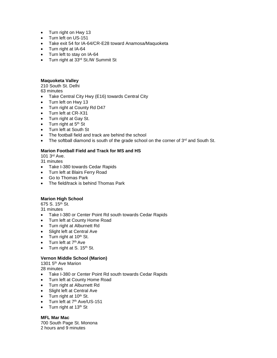- Turn right on Hwy 13
- Turn left on US-151
- Take exit 54 for IA-64/CR-E28 toward Anamosa/Maquoketa
- Turn right at IA-64
- Turn left to stay on IA-64
- Turn right at 33<sup>rd</sup> St./W Summit St

## **Maquoketa Valley**

210 South St. Delhi 63 minutes

- Take Central City Hwy (E16) towards Central City
- Turn left on Hwy 13
- Turn right at County Rd D47
- Turn left at CR-X31
- Turn right at Gay St.
- $\bullet$  Turn right at  $5<sup>th</sup>$  St
- Turn left at South St
- The football field and track are behind the school
- The softball diamond is south of the grade school on the corner of  $3<sup>rd</sup>$  and South St.

## **Marion Football Field and Track for MS and HS**

101 3rd Ave.

31 minutes

- Take I-380 towards Cedar Rapids
- Turn left at Blairs Ferry Road
- Go to Thomas Park
- The field/track is behind Thomas Park

# **Marion High School**

675 S. 15<sup>th</sup> St.

31 minutes

- Take I-380 or Center Point Rd south towards Cedar Rapids
- Turn left at County Home Road
- Turn right at Alburnett Rd
- Slight left at Central Ave
- $\bullet$  Turn right at 10<sup>th</sup> St.
- Turn left at 7<sup>th</sup> Ave
- Turn right at S. 15<sup>th</sup> St.

# **Vernon Middle School (Marion)**

1301 5<sup>th</sup> Ave Marion

28 minutes

- Take I-380 or Center Point Rd south towards Cedar Rapids
- Turn left at County Home Road
- Turn right at Alburnett Rd
- Slight left at Central Ave
- $\bullet$  Turn right at 10<sup>th</sup> St.
- Turn left at 7<sup>th</sup> Ave/US-151
- $\bullet$  Turn right at 13<sup>th</sup> St

# **MFL Mar Mac**

700 South Page St. Monona 2 hours and 9 minutes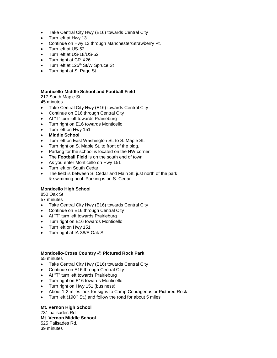- Take Central City Hwy (E16) towards Central City
- Turn left at Hwy 13
- Continue on Hwy 13 through Manchester/Strawberry Pt.
- Turn left at US-52
- Turn left at US-18/US-52
- Turn right at CR-X26
- Turn left at 125<sup>th</sup> St/W Spruce St
- Turn right at S. Page St

#### **Monticello-Middle School and Football Field**

217 South Maple St

45 minutes

- Take Central City Hwy (E16) towards Central City
- Continue on E16 through Central City
- At "T" turn left towards Prairieburg
- Turn right on E16 towards Monticello
- Turn left on Hwy 151
- **Middle School**
- Turn left on East Washington St. to S. Maple St.
- Turn right on S. Maple St. to front of the bldg.
- Parking for the school is located on the NW corner
- The **Football Field** is on the south end of town
- As you enter Monticello on Hwy 151
- Turn left on South Cedar
- The field is between S. Cedar and Main St. just north of the park & swimming pool. Parking is on S. Cedar

## **Monticello High School**

850 Oak St

57 minutes

- Take Central City Hwy (E16) towards Central City
- Continue on E16 through Central City
- At "T" turn left towards Prairieburg
- Turn right on E16 towards Monticello
- Turn left on Hwy 151
- Turn right at IA-38/E Oak St.

# **Monticello-Cross Country @ Pictured Rock Park**

55 minutes

- Take Central City Hwy (E16) towards Central City
- Continue on E16 through Central City
- At "T" turn left towards Prairieburg
- Turn right on E16 towards Monticello
- Turn right on Hwy 151 (business)
- About 1-2 miles look for signs to Camp Courageous or Pictured Rock
- $\bullet$  Turn left (190<sup>th</sup> St.) and follow the road for about 5 miles

## **Mt. Vernon High School**

731 palisades Rd. **Mt. Vernon Middle School** 525 Palisades Rd. 39 minutes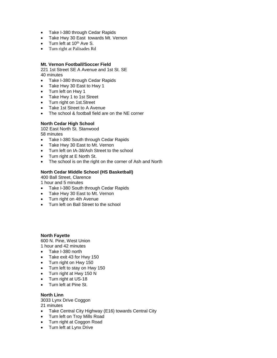- Take I-380 through Cedar Rapids
- Take Hwy 30 East towards Mt. Vernon
- Turn left at 10<sup>th</sup> Ave S.
- Turn right at Palisades Rd

#### **Mt. Vernon Football/Soccer Field**

221 1st Street SE A Avenue and 1st St. SE 40 minutes

- Take I-380 through Cedar Rapids
- Take Hwy 30 East to Hwy 1
- Turn left on Hwy 1
- Take Hwy 1 to 1st Street
- Turn right on 1st.Street
- Take 1st Street to A Avenue
- The school & football field are on the NE corner

#### **North Cedar High School**

102 East North St. Stanwood 58 minutes

- Take I-380 South through Cedar Rapids
- Take Hwy 30 East to Mt. Vernon
- Turn left on IA-38/Ash Street to the school
- Turn right at E North St.
- The school is on the right on the corner of Ash and North

#### **North Cedar Middle School (HS Basketball)**

400 Ball Street, Clarence

1 hour and 5 minutes

- Take I-380 South through Cedar Rapids
- Take Hwy 30 East to Mt. Vernon
- Turn right on 4th Avenue
- Turn left on Ball Street to the school

#### **North Fayette**

600 N. Pine, West Union 1 hour and 42 minutes

- Take I-380 north
- Take exit 43 for Hwy 150
- Turn right on Hwy 150
- Turn left to stay on Hwy 150
- Turn right at Hwy 150 N
- Turn right at US-18
- Turn left at Pine St.

#### **North Linn**

3033 Lynx Drive Coggon 21 minutes

- Take Central City Highway (E16) towards Central City
- Turn left on Troy Mills Road
- Turn right at Coggon Road
- Turn left at Lynx Drive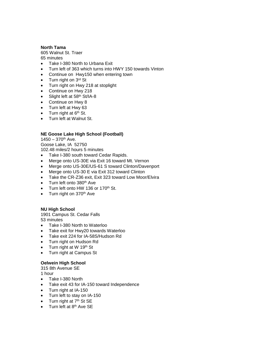#### **North Tama**

605 Walnut St. Traer 65 minutes

- Take I-380 North to Urbana Exit
- Turn left of 363 which turns into HWY 150 towards Vinton
- Continue on Hwy150 when entering town
- $\bullet$  Turn right on  $3^{rd}$  St
- Turn right on Hwy 218 at stoplight
- Continue on Hwy 218
- Slight left at 58<sup>th</sup> St/IA-8
- Continue on Hwy 8
- Turn left at Hwy 63
- $\bullet$  Turn right at  $6<sup>th</sup>$  St.
- Turn left at Walnut St.

## **NE Goose Lake High School (Football)**

 $1450 - 370$ <sup>th</sup> Ave. Goose Lake, IA 52750 102.48 miles/2 hours 5 minutes

- Take I-380 south toward Cedar Rapids.
- Merge onto US-30E via Exit 16 toward Mt. Vernon
- Merge onto US-30E/US-61 S toward Clinton/Davenport
- Merge onto US-30 E via Exit 312 toward Clinton
- Take the CR-Z36 exit, Exit 323 toward Low Moor/Elvira
- Turn left onto 380<sup>th</sup> Ave
- Turn left onto HW 136 or 170<sup>th</sup> St.
- Turn right on 370<sup>th</sup> Ave

## **NU High School**

1901 Campus St. Cedar Falls 53 minutes

- Take I-380 North to Waterloo
- Take exit for Hwy20 towards Waterloo
- Take exit 224 for IA-58S/Hudson Rd
- Turn right on Hudson Rd
- $\bullet$  Turn right at W 19<sup>th</sup> St
- Turn right at Campus St

## **Oelwein High School**

315 8th Avenue SE

1 hour

- Take I-380 North
- Take exit 43 for IA-150 toward Independence
- Turn right at IA-150
- Turn left to stay on IA-150
- $\bullet$  Turn right at  $7<sup>th</sup>$  St SE
- Turn left at 8<sup>th</sup> Ave SE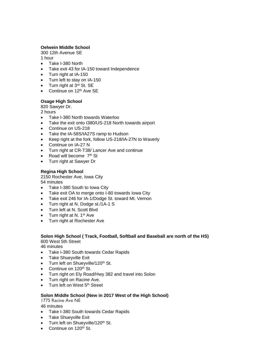## **Oelwein Middle School**

300 12th Avenue SE

1 hour

- Take I-380 North
- Take exit 43 for IA-150 toward Independence
- Turn right at IA-150
- Turn left to stay on IA-150
- Turn right at 3<sup>rd</sup> St. SE
- Continue on  $12<sup>th</sup>$  Ave SE

## **Osage High School**

820 Sawyer Dr.

2 hours

- Take I-380 North towards Waterloo
- Take the exit onto I380/US-218 North towards airport
- Continue on US-218
- Take the IA-58S/IA27S ramp to Hudson
- Keep right at the fork, follow US-218/IA-27N to Waverly
- Continue on IA-27 N
- Turn right at CR-T38/ Lancer Ave and continue
- Road will become  $7<sup>th</sup>$  St
- Turn right at Sawyer Dr

## **Regina High School**

2150 Rochester Ave, Iowa City

54 minutes

- Take I-380 South to Iowa City
- Take exit OA to merge onto I-80 towards lowa City
- Take exit 246 for IA-1/Dodge St. toward Mt. Vernon
- Turn right at N. Dodge st./1A-1 S
- Turn left at N. Scott Blvd
- $\bullet$  Turn right at N. 1<sup>st</sup> Ave
- Turn right at Rochester Ave

## **Solon High School ( Track, Football, Softball and Baseball are north of the HS)** 600 West 5th Street

46 minutes

- Take I-380 South towards Cedar Rapids
- Take Shueyville Exit
- Turn left on Shueyville/120<sup>th</sup> St.
- Continue on 120<sup>th</sup> St.
- Turn right on Ely Road/Hwy 382 and travel into Solon
- Turn right on Racine Ave.
- Turn left on West 5<sup>th</sup> Street

## **Solon Middle School (New in 2017 West of the High School)**

1775 Racine Ave NE

- Take I-380 South towards Cedar Rapids
- Take Shueyville Exit
- Turn left on Shueyville/120<sup>th</sup> St.
- Continue on 120<sup>th</sup> St.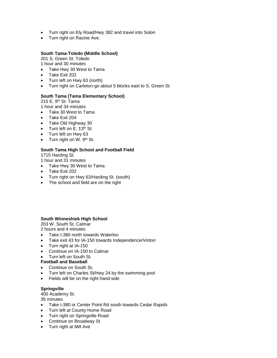- Turn right on Ely Road/Hwy 382 and travel into Solon
- Turn right on Racine Ave.

#### **South Tama-Toledo (Middle School)**

201 S. Green St. Toledo

1 hour and 30 minutes

- Take Hwy 30 West to Tama
- Take Exit 202
- Turn left on Hwy 63 (north)
- Turn right on Carleton-go about 5 blocks east to S. Green St.

#### **South Tama (Tama Elementary School)**

215 E. 9<sup>th</sup> St. Tama

- 1 hour and 34 minutes
- Take 30 West to Tama
- Take Exit 204
- Take Old Highway 30
- Turn left on E. 13<sup>th</sup> St.
- Turn left on Hwy 63
- $\bullet$  Turn right on W. 9<sup>th</sup> St.

# **South Tama High School and Football Field**

1715 Harding St.

- 1 hour and 31 minutes
- Take Hwy 30 West to Tama
- Take Exit 202
- Turn right on Hwy 63/Harding St. (south)
- The school and field are on the right

#### **South Winneshiek High School**

203 W. South St. Calmar

2 hours and 4 minutes

- Take I-380 north towards Waterloo
- Take exit 43 for IA-150 towards Independence/Vinton
- Turn right at IA-150
- Continue on IA-150 to Calmar
- Turn left on South St.

#### **Football and Baseball**

- Continue on South St,
- Turn left on Charles St/Hwy 24 by the swimming pool
- Fields will be on the right hand side

## **Springville**

400 Academy St.

- Take I-380 or Center Point Rd south towards Cedar Rapids
- Turn left at County Home Road
- Turn right on Springville Road
- Continue on Broadway St
- Turn right at Mill Ave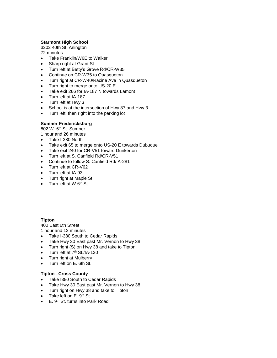## **Starmont High School**

3202 40th St. Arlington 72 minutes

- Take Franklin/W6E to Walker
- Sharp right at Grant St
- Turn left at Betty's Grove Rd/CR-W35
- Continue on CR-W35 to Quasqueton
- Turn right at CR-W40/Racine Ave in Quasqueton
- Turn right to merge onto US-20 E
- Take exit 266 for IA-187 N towards Lamont
- Turn left at IA-187
- Turn left at Hwy 3
- School is at the intersection of Hwy 87 and Hwy 3
- Turn left then right into the parking lot

#### **Sumner-Fredericksburg**

802 W. 6<sup>th</sup> St. Sumner 1 hour and 26 minutes

- Take I-380 North
- Take exit 65 to merge onto US-20 E towards Dubuque
- Take exit 240 for CR-V51 toward Dunkerton
- Turn left at S. Canfield Rd/CR-V51
- Continue to follow S. Canfield Rd/IA-281
- Turn left at CR-V62
- Turn left at IA-93
- Turn right at Maple St
- $\bullet$  Turn left at W  $6<sup>th</sup>$  St

## **Tipton**

400 East 6th Street

1 hour and 12 minutes

- Take I-380 South to Cedar Rapids
- Take Hwy 30 East past Mr. Vernon to Hwy 38
- Turn right (S) on Hwy 38 and take to Tipton
- $\bullet$  Turn left at  $7<sup>th</sup>$  St./IA-130
- Turn right at Mulberry
- Turn left on E. 6th St.

## **Tipton –Cross County**

- Take I380 South to Cedar Rapids
- Take Hwy 30 East past Mr. Vernon to Hwy 38
- Turn right on Hwy 38 and take to Tipton
- $\bullet$  Take left on E. 9<sup>th</sup> St.
- E. 9<sup>th</sup> St. turns into Park Road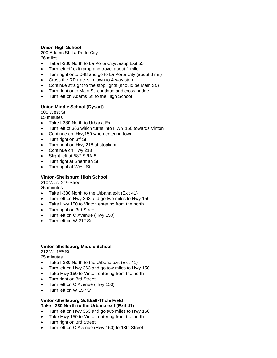## **Union High School**

200 Adams St. La Porte City

36 miles

- Take I-380 North to La Porte City/Jesup Exit 55
- Turn left off exit ramp and travel about 1 mile
- Turn right onto D48 and go to La Porte City (about 8 mi.)
- Cross the RR tracks in town to 4-way stop
- Continue straight to the stop lights (should be Main St.)
- Turn right onto Main St. continue and cross bridge
- Turn left on Adams St. to the High School

## **Union Middle School (Dysart)**

505 West St.

65 minutes

- Take I-380 North to Urbana Exit
- Turn left of 363 which turns into HWY 150 towards Vinton
- Continue on Hwy150 when entering town
- $\bullet$  Turn right on  $3^{rd}$  St
- Turn right on Hwy 218 at stoplight
- Continue on Hwy 218
- Slight left at 58<sup>th</sup> St/IA-8
- Turn right at Sherman St.
- Turn right at West St

## **Vinton-Shellsburg High School**

210 West 21<sup>st</sup> Street

25 minutes

- Take I-380 North to the Urbana exit (Exit 41)
- Turn left on Hwy 363 and go two miles to Hwy 150
- Take Hwy 150 to Vinton entering from the north
- Turn right on 3rd Street
- Turn left on C Avenue (Hwy 150)
- Turn left on W 21st St.

## **Vinton-Shellsburg Middle School**

212 W. 15<sup>th</sup> St.

25 minutes

- Take I-380 North to the Urbana exit (Exit 41)
- Turn left on Hwy 363 and go tow miles to Hwy 150
- Take Hwy 150 to Vinton entering from the north
- Turn right on 3rd Street
- Turn left on C Avenue (Hwy 150)
- Turn left on W 15<sup>th</sup> St.

#### **Vinton-Shellsburg Softball-Thole Field Take I-380 North to the Urbana exit (Exit 41)**

- Turn left on Hwy 363 and go two miles to Hwy 150
- Take Hwy 150 to Vinton entering from the north
- Turn right on 3rd Street
- Turn left on C Avenue (Hwy 150) to 13th Street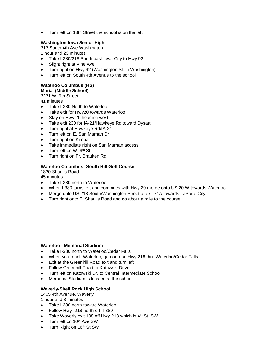Turn left on 13th Street the school is on the left

## **Washington Iowa Senior High**

313 South 4th Ave Washington 1 hour and 23 minutes

- Take I-380/218 South past Iowa City to Hwy 92
- Slight right at Vine Ave
- Turn right on Hwy 92 (Washington St. in Washington)
- Turn left on South 4th Avenue to the school

# **Waterloo Columbus (HS)**

**Maria (Middle School)**

3231 W. 9th Street

41 minutes

- Take I-380 North to Waterloo
- Take exit for Hwy20 towards Waterloo
- Stay on Hwy 20 heading west
- Take exit 230 for IA-21/Hawkeye Rd toward Dysart
- Turn right at Hawkeye Rd/IA-21
- Turn left on E. San Marnan Dr
- Turn right on Kimball
- Take immediate right on San Marnan access
- $\bullet$  Turn left on W. 9<sup>th</sup> St
- Turn right on Fr. Brauken Rd.

#### **Waterloo Columbus -South Hill Golf Course**

1830 Shaulis Road

45 minutes

- Take I-380 north to Waterloo
- When I-380 turns left and combines with Hwy 20 merge onto US 20 W towards Waterloo
- Merge onto US 218 South/Washington Street at exit 71A towards LaPorte City
- Turn right onto E. Shaulis Road and go about a mile to the course

#### **Waterloo - Memorial Stadium**

- Take I-380 north to Waterloo/Cedar Falls
- When you reach Waterloo, go north on Hwy 218 thru Waterloo/Cedar Falls
- Exit at the Greenhill Road exit and turn left
- Follow Greenhill Road to Katowski Drive
- Turn left on Katowski Dr. to Central Intermediate School
- Memorial Stadium is located at the school

## **Waverly-Shell Rock High School**

1405 4th Avenue, Waverly

1 hour and 8 minutes

- Take I-380 north toward Waterloo
- Follow Hwy- 218 north off I-380
- $\bullet$  Take Waverly exit 198 off Hwy-218 which is  $4<sup>th</sup>$  St. SW
- Turn left on 10<sup>th</sup> Ave SW
- Turn Right on 16<sup>th</sup> St SW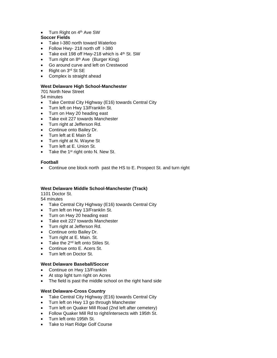Turn Right on 4<sup>th</sup> Ave SW

## **Soccer Fields**

- Take I-380 north toward Waterloo
- Follow Hwy- 218 north off I-380
- Take exit 198 off Hwy-218 which is 4<sup>th</sup> St. SW
- Turn right on  $8<sup>th</sup>$  Ave (Burger King)
- Go around curve and left on Crestwood
- Right on 3<sup>rd</sup> St SE
- Complex is straight ahead

## **West Delaware High School-Manchester**

701 North New Street

54 minutes

- Take Central City Highway (E16) towards Central City
- Turn left on Hwy 13/Franklin St.
- Turn on Hwy 20 heading east
- Take exit 227 towards Manchester
- Turn right at Jefferson Rd.
- Continue onto Bailey Dr.
- Turn left at E Main St
- Turn right at N. Wayne St
- Turn left at E. Union St.
- Take the  $1<sup>st</sup>$  right onto N. New St.

## **Football**

Continue one block north past the HS to E. Prospect St. and turn right

## **West Delaware Middle School-Manchester (Track)**

1101 Doctor St.

54 minutes

- Take Central City Highway (E16) towards Central City
- Turn left on Hwy 13/Franklin St.
- Turn on Hwy 20 heading east
- Take exit 227 towards Manchester
- Turn right at Jefferson Rd.
- Continue onto Bailey Dr.
- Turn right at E. Main. St.
- Take the 2<sup>nd</sup> left onto Stiles St.
- Continue onto E. Acers St.
- Turn left on Doctor St.

# **West Delaware Baseball/Soccer**

- Continue on Hwy 13/Franklin
- At stop light turn right on Acres
- The field is past the middle school on the right hand side

## **West Delaware-Cross Country**

- Take Central City Highway (E16) towards Central City
- Turn left on Hwy 13 go through Manchester
- Turn left on Quaker Mill Road (2nd left after cemetery)
- Follow Quaker Mill Rd to right/intersects with 195th St.
- Turn left onto 195th St.
- Take to Hart Ridge Golf Course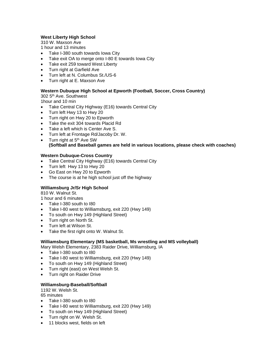## **West Liberty High School**

310 W. Maxson Ave

1 hour and 13 minutes

- Take I-380 south towards Iowa City
- Take exit OA to merge onto I-80 E towards lowa City
- Take exit 259 toward West Liberty
- Turn right at Garfield Ave
- Turn left at N. Columbus St./US-6
- Turn right at E. Maxson Ave

## **Western Dubuque High School at Epworth (Football, Soccer, Cross Country)**

302 5th Ave. Southwest

1hour and 10 min

- Take Central City Highway (E16) towards Central City
- Turn left Hwy 13 to Hwy 20
- Turn right on Hwy 20 to Epworth
- Take the exit 304 towards Placid Rd
- Take a left which is Center Ave S.
- Turn left at Frontage Rd/Jacoby Dr. W.
- $\bullet$  Turn right at  $5<sup>th</sup>$  Ave SW **(Softball and Baseball games are held in various locations, please check with coaches)**

## **Western Dubuque-Cross Country**

- Take Central City Highway (E16) towards Central City
- Turn left Hwy 13 to Hwy 20
- Go East on Hwy 20 to Epworth
- The course is at he high school just off the highway

# **Williamsburg Jr/Sr High School**

810 W. Walnut St.

- 1 hour and 6 minutes
- Take I-380 south to I80
- Take I-80 west to Williamsburg, exit 220 (Hwy 149)
- To south on Hwy 149 (Highland Street)
- Turn right on North St.
- Turn left at Wilson St.
- Take the first right onto W. Walnut St.

## **Williamsburg Elementary (MS basketball, Ms wrestling and MS volleyball)**

Mary Welsh Elementary, 2383 Raider Drive, Williamsburg, IA

- Take I-380 south to I80
- Take I-80 west to Williamsburg, exit 220 (Hwy 149)
- To south on Hwy 149 (Highland Street)
- Turn right (east) on West Welsh St.
- Turn right on Raider Drive

## **Williamsburg-Baseball/Softball**

1192 W. Welsh St. 65 minutes

- Take I-380 south to I80
- Take I-80 west to Williamsburg, exit 220 (Hwy 149)
- To south on Hwy 149 (Highland Street)
- Turn right on W. Welsh St.
- 11 blocks west, fields on left